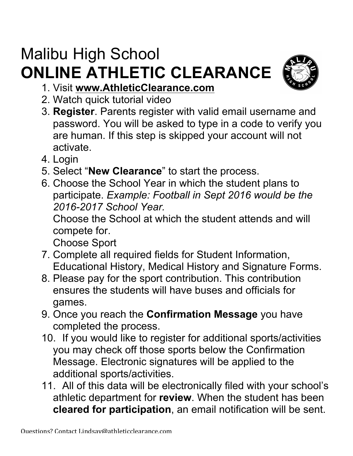## Malibu High School **ONLINE ATHLETIC CLEARANCE**



- 1. Visit **www.AthleticClearance.com**
- 2. Watch quick tutorial video
- 3. **Register**. Parents register with valid email username and password. You will be asked to type in a code to verify you are human. If this step is skipped your account will not activate.
- 4. Login
- 5. Select "**New Clearance**" to start the process.
- 6. Choose the School Year in which the student plans to participate. *Example: Football in Sept 2016 would be the 2016-2017 School Year.*

Choose the School at which the student attends and will compete for.

Choose Sport

- 7. Complete all required fields for Student Information, Educational History, Medical History and Signature Forms.
- 8. Please pay for the sport contribution. This contribution ensures the students will have buses and officials for games.
- 9. Once you reach the **Confirmation Message** you have completed the process.
- 10. If you would like to register for additional sports/activities you may check off those sports below the Confirmation Message. Electronic signatures will be applied to the additional sports/activities.
- 11. All of this data will be electronically filed with your school's athletic department for **review**. When the student has been **cleared for participation**, an email notification will be sent.